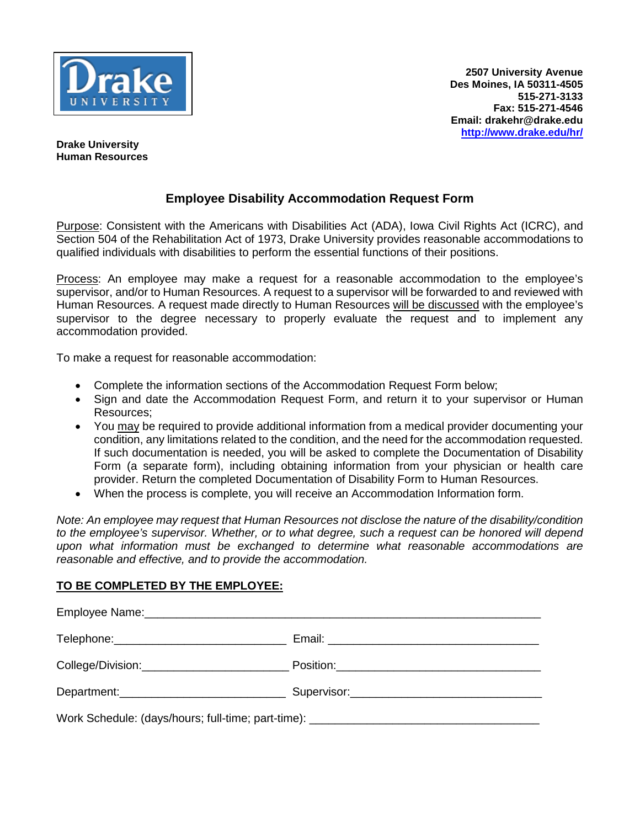

**Drake University Human Resources**

## **Employee Disability Accommodation Request Form**

Purpose: Consistent with the Americans with Disabilities Act (ADA), Iowa Civil Rights Act (ICRC), and Section 504 of the Rehabilitation Act of 1973, Drake University provides reasonable accommodations to qualified individuals with disabilities to perform the essential functions of their positions.

Process: An employee may make a request for a reasonable accommodation to the employee's supervisor, and/or to Human Resources. A request to a supervisor will be forwarded to and reviewed with Human Resources. A request made directly to Human Resources will be discussed with the employee's supervisor to the degree necessary to properly evaluate the request and to implement any accommodation provided.

To make a request for reasonable accommodation:

- Complete the information sections of the Accommodation Request Form below;
- Sign and date the Accommodation Request Form, and return it to your supervisor or Human Resources;
- You may be required to provide additional information from a medical provider documenting your condition, any limitations related to the condition, and the need for the accommodation requested. If such documentation is needed, you will be asked to complete the Documentation of Disability Form (a separate form), including obtaining information from your physician or health care provider. Return the completed Documentation of Disability Form to Human Resources.
- When the process is complete, you will receive an Accommodation Information form.

*Note: An employee may request that Human Resources not disclose the nature of the disability/condition to the employee's supervisor. Whether, or to what degree, such a request can be honored will depend upon what information must be exchanged to determine what reasonable accommodations are reasonable and effective, and to provide the accommodation.*

## **TO BE COMPLETED BY THE EMPLOYEE:**

| Work Schedule: (days/hours; full-time; part-time): ______________________________ |  |
|-----------------------------------------------------------------------------------|--|